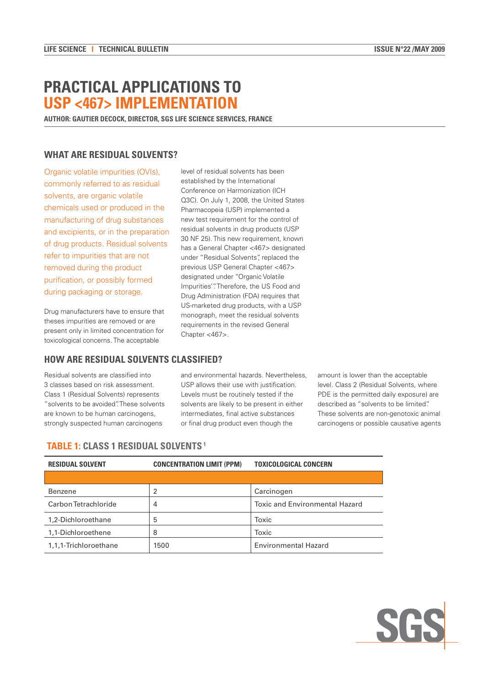# **PRACTICAL APPLICATIONS TO USP <467> IMPLEMENTATION**

**AUTHOR: GAUTIER DECOCK, DIRECTOR, SGS LIFE SCIENCE SERVICES, FRANCE**

## **WHAT ARE RESIDUAL SOLVENTS?**

Organic volatile impurities (OVIs), commonly referred to as residual solvents, are organic volatile chemicals used or produced in the manufacturing of drug substances and excipients, or in the preparation of drug products. Residual solvents refer to impurities that are not removed during the product purification, or possibly formed during packaging or storage.

Drug manufacturers have to ensure that theses impurities are removed or are present only in limited concentration for toxicological concerns. The acceptable

#### **HOW ARE RESIDUAL SOLVENTS CLASSIFIED?**

Residual solvents are classified into 3 classes based on risk assessment. Class 1 (Residual Solvents) represents "solvents to be avoided". These solvents are known to be human carcinogens, strongly suspected human carcinogens

and environmental hazards. Nevertheless, USP allows their use with justification. Levels must be routinely tested if the solvents are likely to be present in either intermediates, final active substances or final drug product even though the

level of residual solvents has been established by the International Conference on Harmonization (ICH Q3C). On July 1, 2008, the United States Pharmacopeia (USP) implemented a new test requirement for the control of residual solvents in drug products (USP 30 NF 25). This new requirement, known has a General Chapter <467> designated under "Residual Solvents", replaced the previous USP General Chapter <467> designated under "Organic Volatile Impurities'". Therefore, the US Food and Drug Administration (FDA) requires that US-marketed drug products, with a USP monograph, meet the residual solvents requirements in the revised General

> amount is lower than the acceptable level. Class 2 (Residual Solvents, where PDE is the permitted daily exposure) are described as "solvents to be limited". These solvents are non-genotoxic animal carcinogens or possible causative agents

## **TABLE 1: CLASS 1 RESIDUAL SOLVENTS 1**

| <b>RESIDUAL SOLVENT</b> | <b>CONCENTRATION LIMIT (PPM)</b> | <b>TOXICOLOGICAL CONCERN</b>          |
|-------------------------|----------------------------------|---------------------------------------|
|                         |                                  |                                       |
| Benzene                 | 2                                | Carcinogen                            |
| Carbon Tetrachloride    | 4                                | <b>Toxic and Environmental Hazard</b> |
| 1,2-Dichloroethane      | 5                                | Toxic                                 |
| 1,1-Dichloroethene      | 8                                | Toxic                                 |
| 1,1,1-Trichloroethane   | 1500                             | <b>Environmental Hazard</b>           |

Chapter <467>.

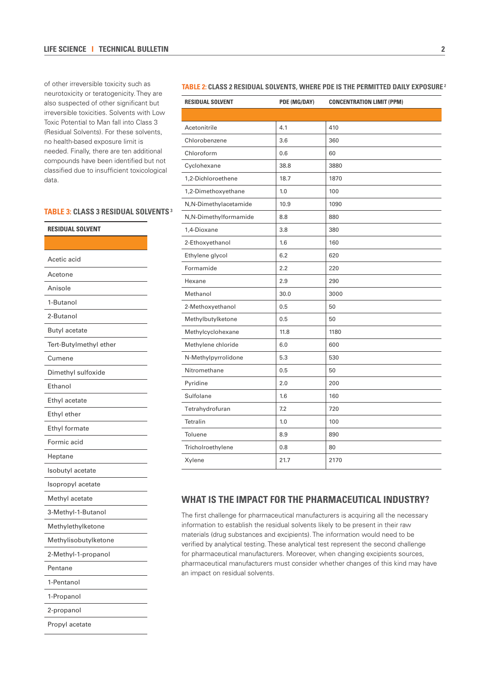#### **LIFE SCIENCE I TECHNICAL BULLETIN 2**

of other irreversible toxicity such as neurotoxicity or teratogenicity. They are also suspected of other significant but irreversible toxicities. Solvents with Low Toxic Potential to Man fall into Class 3 (Residual Solvents). For these solvents, no health-based exposure limit is needed. Finally, there are ten additional compounds have been identified but not classified due to insufficient toxicological data.

#### **TABLE 3: CLASS 3 RESIDUAL SOLVENTS 3**

| <b>RESIDUAL SOLVENT</b> |  |  |
|-------------------------|--|--|
|                         |  |  |
| Acetic acid             |  |  |
| Acetone                 |  |  |
| Anisole                 |  |  |
| 1-Butanol               |  |  |
| 2-Butanol               |  |  |
| <b>Butyl acetate</b>    |  |  |
| Tert-Butylmethyl ether  |  |  |
| Cumene                  |  |  |
| Dimethyl sulfoxide      |  |  |
| Ethanol                 |  |  |
| Ethyl acetate           |  |  |
| Ethyl ether             |  |  |
| Ethyl formate           |  |  |
| Formic acid             |  |  |
| Heptane                 |  |  |
| Isobutyl acetate        |  |  |
| Isopropyl acetate       |  |  |
| Methyl acetate          |  |  |
| 3-Methyl-1-Butanol      |  |  |
| Methylethylketone       |  |  |
| Methylisobutylketone    |  |  |
| 2-Methyl-1-propanol     |  |  |
| Pentane                 |  |  |
| 1-Pentanol              |  |  |
| 1-Propanol              |  |  |
| 2-propanol              |  |  |
| Propyl acetate          |  |  |

## **TABLE 2: CLASS 2 RESIDUAL SOLVENTS, WHERE PDE IS THE PERMITTED DAILY EXPOSURE 2**

| <b>RESIDUAL SOLVENT</b> | PDE (MG/DAY) | <b>CONCENTRATION LIMIT (PPM)</b> |
|-------------------------|--------------|----------------------------------|
|                         |              |                                  |
| Acetonitrile            | 4.1          | 410                              |
| Chlorobenzene           | 3.6          | 360                              |
| Chloroform              | 0.6          | 60                               |
| Cyclohexane             | 38.8         | 3880                             |
| 1,2-Dichloroethene      | 18.7         | 1870                             |
| 1,2-Dimethoxyethane     | 1.0          | 100                              |
| N,N-Dimethylacetamide   | 10.9         | 1090                             |
| N,N-Dimethylformamide   | 8.8          | 880                              |
| 1,4-Dioxane             | 3.8          | 380                              |
| 2-Ethoxyethanol         | 1.6          | 160                              |
| Ethylene glycol         | 6.2          | 620                              |
| Formamide               | 2.2          | 220                              |
| Hexane                  | 2.9          | 290                              |
| Methanol                | 30.0         | 3000                             |
| 2-Methoxyethanol        | 0.5          | 50                               |
| Methylbutylketone       | 0.5          | 50                               |
| Methylcyclohexane       | 11.8         | 1180                             |
| Methylene chloride      | 6.0          | 600                              |
| N-Methylpyrrolidone     | 5.3          | 530                              |
| Nitromethane            | 0.5          | 50                               |
| Pyridine                | 2.0          | 200                              |
| Sulfolane               | 1.6          | 160                              |
| Tetrahydrofuran         | 7.2          | 720                              |
| <b>Tetralin</b>         | 1.0          | 100                              |
| Toluene                 | 8.9          | 890                              |
| Tricholroethylene       | 0.8          | 80                               |
| Xylene                  | 21.7         | 2170                             |

## **WHAT IS THE IMPACT FOR THE PHARMACEUTICAL INDUSTRY?**

The first challenge for pharmaceutical manufacturers is acquiring all the necessary information to establish the residual solvents likely to be present in their raw materials (drug substances and excipients). The information would need to be verified by analytical testing. These analytical test represent the second challenge for pharmaceutical manufacturers. Moreover, when changing excipients sources, pharmaceutical manufacturers must consider whether changes of this kind may have an impact on residual solvents.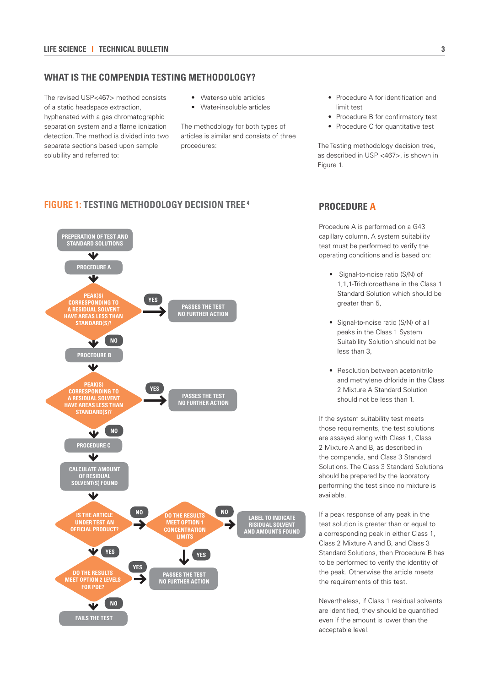### **WHAT IS THE COMPENDIA TESTING METHODOLOGY?**

The revised USP<467> method consists of a static headspace extraction, hyphenated with a gas chromatographic separation system and a flame ionization detection. The method is divided into two separate sections based upon sample solubility and referred to:

- Water-soluble articles
- Water-insoluble articles

The methodology for both types of articles is similar and consists of three procedures:

- Procedure A for identification and limit test
- Procedure B for confirmatory test
- Procedure C for quantitative test

The Testing methodology decision tree, as described in USP <467>, is shown in Figure 1.

## **FIGURE 1: TESTING METHODOLOGY DECISION TREE 4 PROCEDURE A**



Procedure A is performed on a G43 capillary column. A system suitability test must be performed to verify the operating conditions and is based on:

- Signal-to-noise ratio (S/N) of 1,1,1-Trichloroethane in the Class 1 Standard Solution which should be greater than 5,
- Signal-to-noise ratio (S/N) of all peaks in the Class 1 System Suitability Solution should not be less than 3,
- Resolution between acetonitrile and methylene chloride in the Class 2 Mixture A Standard Solution should not be less than 1.

If the system suitability test meets those requirements, the test solutions are assayed along with Class 1, Class 2 Mixture A and B, as described in the compendia, and Class 3 Standard Solutions. The Class 3 Standard Solutions should be prepared by the laboratory performing the test since no mixture is available.

If a peak response of any peak in the test solution is greater than or equal to a corresponding peak in either Class 1, Class 2 Mixture A and B, and Class 3 Standard Solutions, then Procedure B has to be performed to verify the identity of the peak. Otherwise the article meets the requirements of this test.

Nevertheless, if Class 1 residual solvents are identified, they should be quantified even if the amount is lower than the acceptable level.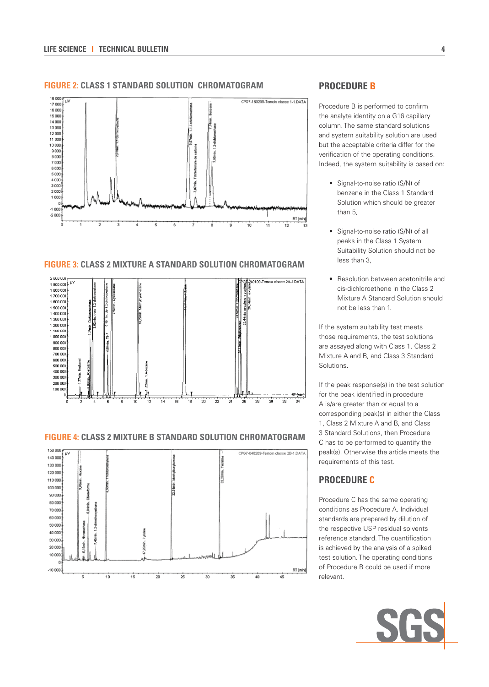#### **FIGURE 2: CLASS 1 STANDARD SOLUTION CHROMATOGRAM**



#### **FIGURE 3: CLASS 2 MIXTURE A STANDARD SOLUTION CHROMATOGRAM**



#### **FIGURE 4: CLASS 2 MIXTURE B STANDARD SOLUTION CHROMATOGRAM**



## **PROCEDURE B**

Procedure B is performed to confirm the analyte identity on a G16 capillary column. The same standard solutions and system suitability solution are used but the acceptable criteria differ for the verification of the operating conditions. Indeed, the system suitability is based on:

- Signal-to-noise ratio (S/N) of benzene in the Class 1 Standard Solution which should be greater than 5,
- Signal-to-noise ratio (S/N) of all peaks in the Class 1 System Suitability Solution should not be less than 3,
- Resolution between acetonitrile and cis-dichloroethene in the Class 2 Mixture A Standard Solution should not be less than 1.

If the system suitability test meets those requirements, the test solutions are assayed along with Class 1, Class 2 Mixture A and B, and Class 3 Standard Solutions.

If the peak response(s) in the test solution for the peak identified in procedure A is/are greater than or equal to a corresponding peak(s) in either the Class 1, Class 2 Mixture A and B, and Class 3 Standard Solutions, then Procedure C has to be performed to quantify the peak(s). Otherwise the article meets the requirements of this test.

## **PROCEDURE C**

Procedure C has the same operating conditions as Procedure A. Individual standards are prepared by dilution of the respective USP residual solvents reference standard. The quantification is achieved by the analysis of a spiked test solution. The operating conditions of Procedure B could be used if more relevant.